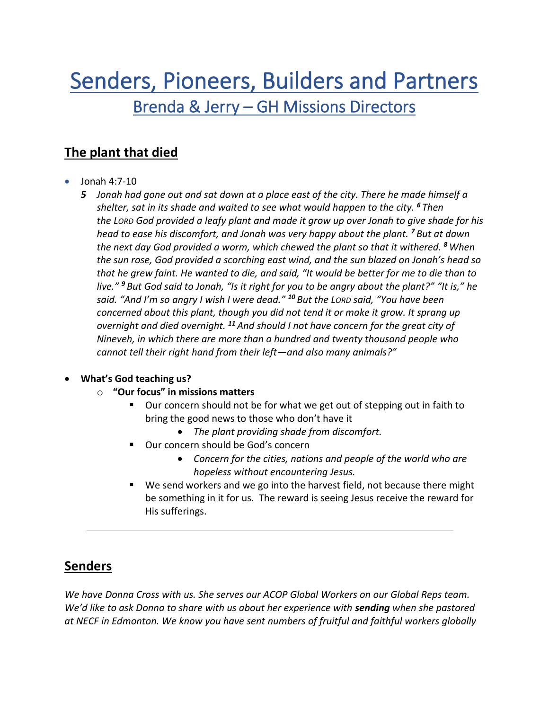# Senders, Pioneers, Builders and Partners Brenda & Jerry – GH Missions Directors

# **The plant that died**

- Jonah 4:7-10
	- *5 Jonah had gone out and sat down at a place east of the city. There he made himself a shelter, sat in its shade and waited to see what would happen to the city. <sup>6</sup> Then the LORD God provided a leafy plant and made it grow up over Jonah to give shade for his head to ease his discomfort, and Jonah was very happy about the plant. <sup>7</sup> But at dawn the next day God provided a worm, which chewed the plant so that it withered. <sup>8</sup> When the sun rose, God provided a scorching east wind, and the sun blazed on Jonah's head so that he grew faint. He wanted to die, and said, "It would be better for me to die than to live." <sup>9</sup> But God said to Jonah, "Is it right for you to be angry about the plant?" "It is," he said. "And I'm so angry I wish I were dead." <sup>10</sup> But the LORD said, "You have been concerned about this plant, though you did not tend it or make it grow. It sprang up overnight and died overnight. <sup>11</sup> And should I not have concern for the great city of Nineveh, in which there are more than a hundred and twenty thousand people who cannot tell their right hand from their left—and also many animals?"*

## • **What's God teaching us?**

- o **"Our focus" in missions matters**
	- Our concern should not be for what we get out of stepping out in faith to bring the good news to those who don't have it
		- *The plant providing shade from discomfort.*
	- Our concern should be God's concern
		- *Concern for the cities, nations and people of the world who are hopeless without encountering Jesus.*
	- We send workers and we go into the harvest field, not because there might be something in it for us. The reward is seeing Jesus receive the reward for His sufferings.

## **Senders**

*We have Donna Cross with us. She serves our ACOP Global Workers on our Global Reps team. We'd like to ask Donna to share with us about her experience with sending when she pastored at NECF in Edmonton. We know you have sent numbers of fruitful and faithful workers globally*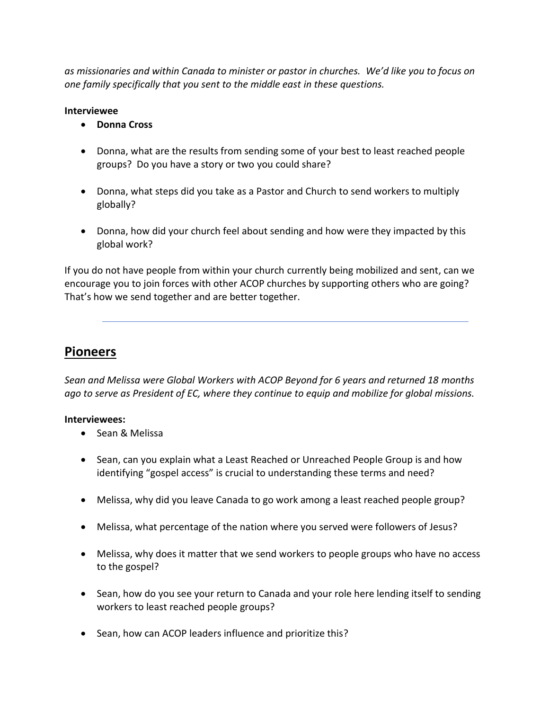*as missionaries and within Canada to minister or pastor in churches. We'd like you to focus on one family specifically that you sent to the middle east in these questions.*

#### **Interviewee**

- **Donna Cross**
- Donna, what are the results from sending some of your best to least reached people groups? Do you have a story or two you could share?
- Donna, what steps did you take as a Pastor and Church to send workers to multiply globally?
- Donna, how did your church feel about sending and how were they impacted by this global work?

If you do not have people from within your church currently being mobilized and sent, can we encourage you to join forces with other ACOP churches by supporting others who are going? That's how we send together and are better together.

## **Pioneers**

*Sean and Melissa were Global Workers with ACOP Beyond for 6 years and returned 18 months ago to serve as President of EC, where they continue to equip and mobilize for global missions.* 

## **Interviewees:**

- Sean & Melissa
- Sean, can you explain what a Least Reached or Unreached People Group is and how identifying "gospel access" is crucial to understanding these terms and need?
- Melissa, why did you leave Canada to go work among a least reached people group?
- Melissa, what percentage of the nation where you served were followers of Jesus?
- Melissa, why does it matter that we send workers to people groups who have no access to the gospel?
- Sean, how do you see your return to Canada and your role here lending itself to sending workers to least reached people groups?
- Sean, how can ACOP leaders influence and prioritize this?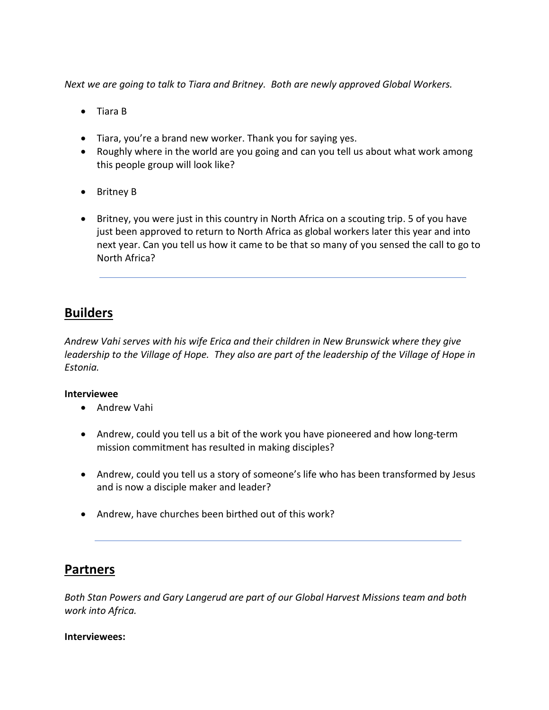*Next we are going to talk to Tiara and Britney. Both are newly approved Global Workers.*

- Tiara B
- Tiara, you're a brand new worker. Thank you for saying yes.
- Roughly where in the world are you going and can you tell us about what work among this people group will look like?
- Britney B
- Britney, you were just in this country in North Africa on a scouting trip. 5 of you have just been approved to return to North Africa as global workers later this year and into next year. Can you tell us how it came to be that so many of you sensed the call to go to North Africa?

## **Builders**

*Andrew Vahi serves with his wife Erica and their children in New Brunswick where they give leadership to the Village of Hope. They also are part of the leadership of the Village of Hope in Estonia.* 

## **Interviewee**

- Andrew Vahi
- Andrew, could you tell us a bit of the work you have pioneered and how long-term mission commitment has resulted in making disciples?
- Andrew, could you tell us a story of someone's life who has been transformed by Jesus and is now a disciple maker and leader?
- Andrew, have churches been birthed out of this work?

## **Partners**

*Both Stan Powers and Gary Langerud are part of our Global Harvest Missions team and both work into Africa.*

#### **Interviewees:**